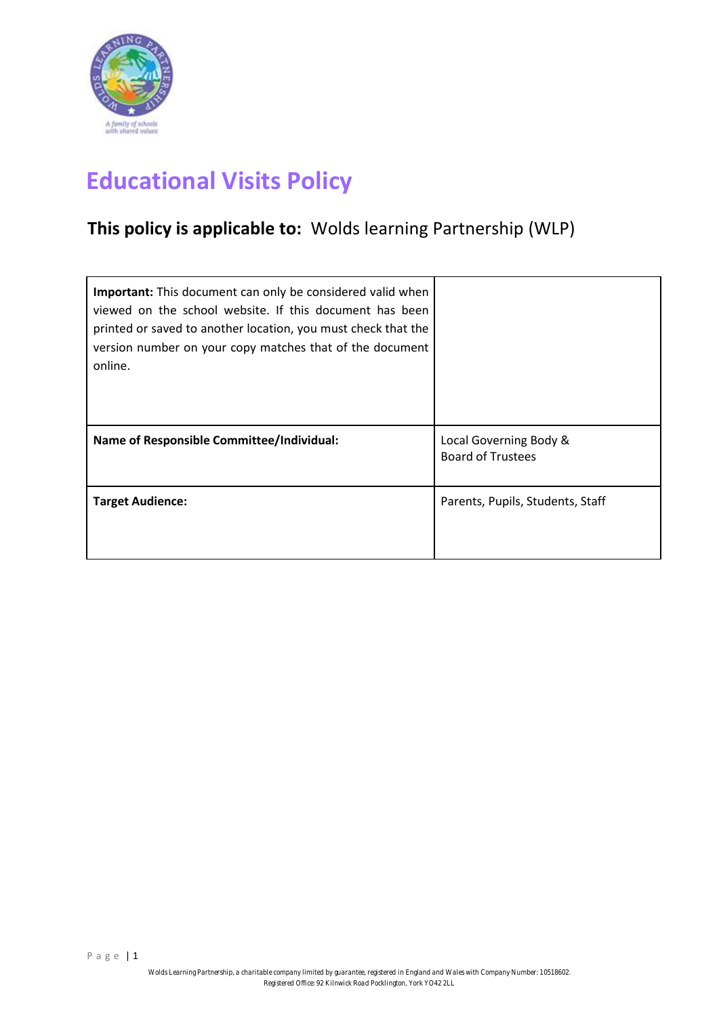

# **Educational Visits Policy**

# **This policy is applicable to:** Wolds learning Partnership (WLP)

| <b>Important:</b> This document can only be considered valid when<br>viewed on the school website. If this document has been<br>printed or saved to another location, you must check that the<br>version number on your copy matches that of the document<br>online. |                                                    |
|----------------------------------------------------------------------------------------------------------------------------------------------------------------------------------------------------------------------------------------------------------------------|----------------------------------------------------|
| Name of Responsible Committee/Individual:                                                                                                                                                                                                                            | Local Governing Body &<br><b>Board of Trustees</b> |
| <b>Target Audience:</b>                                                                                                                                                                                                                                              | Parents, Pupils, Students, Staff                   |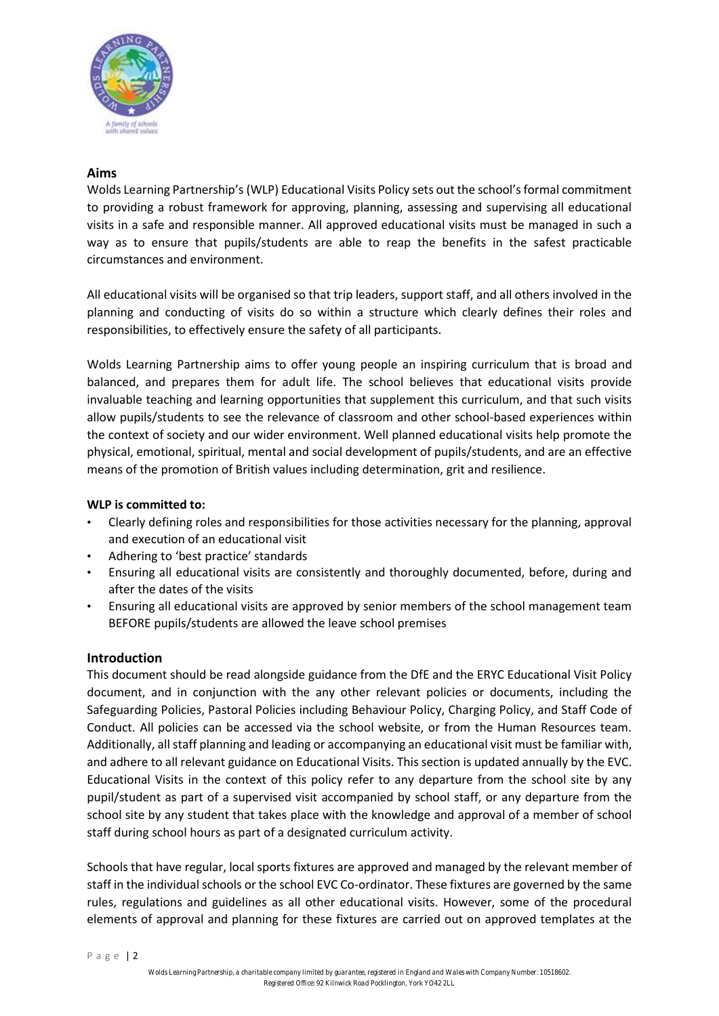

# **Aims**

Wolds Learning Partnership's (WLP) Educational Visits Policy sets out the school's formal commitment to providing a robust framework for approving, planning, assessing and supervising all educational visits in a safe and responsible manner. All approved educational visits must be managed in such a way as to ensure that pupils/students are able to reap the benefits in the safest practicable circumstances and environment.

All educational visits will be organised so that trip leaders, support staff, and all others involved in the planning and conducting of visits do so within a structure which clearly defines their roles and responsibilities, to effectively ensure the safety of all participants.

Wolds Learning Partnership aims to offer young people an inspiring curriculum that is broad and balanced, and prepares them for adult life. The school believes that educational visits provide invaluable teaching and learning opportunities that supplement this curriculum, and that such visits allow pupils/students to see the relevance of classroom and other school-based experiences within the context of society and our wider environment. Well planned educational visits help promote the physical, emotional, spiritual, mental and social development of pupils/students, and are an effective means of the promotion of British values including determination, grit and resilience.

#### **WLP is committed to:**

- Clearly defining roles and responsibilities for those activities necessary for the planning, approval and execution of an educational visit
- Adhering to 'best practice' standards
- Ensuring all educational visits are consistently and thoroughly documented, before, during and after the dates of the visits
- Ensuring all educational visits are approved by senior members of the school management team BEFORE pupils/students are allowed the leave school premises

#### **Introduction**

This document should be read alongside guidance from the DfE and the ERYC Educational Visit Policy document, and in conjunction with the any other relevant policies or documents, including the Safeguarding Policies, Pastoral Policies including Behaviour Policy, Charging Policy, and Staff Code of Conduct. All policies can be accessed via the school website, or from the Human Resources team. Additionally, all staff planning and leading or accompanying an educational visit must be familiar with, and adhere to all relevant guidance on Educational Visits. This section is updated annually by the EVC. Educational Visits in the context of this policy refer to any departure from the school site by any pupil/student as part of a supervised visit accompanied by school staff, or any departure from the school site by any student that takes place with the knowledge and approval of a member of school staff during school hours as part of a designated curriculum activity.

Schools that have regular, local sports fixtures are approved and managed by the relevant member of staff in the individual schools or the school EVC Co-ordinator. These fixtures are governed by the same rules, regulations and guidelines as all other educational visits. However, some of the procedural elements of approval and planning for these fixtures are carried out on approved templates at the

P a g e | 2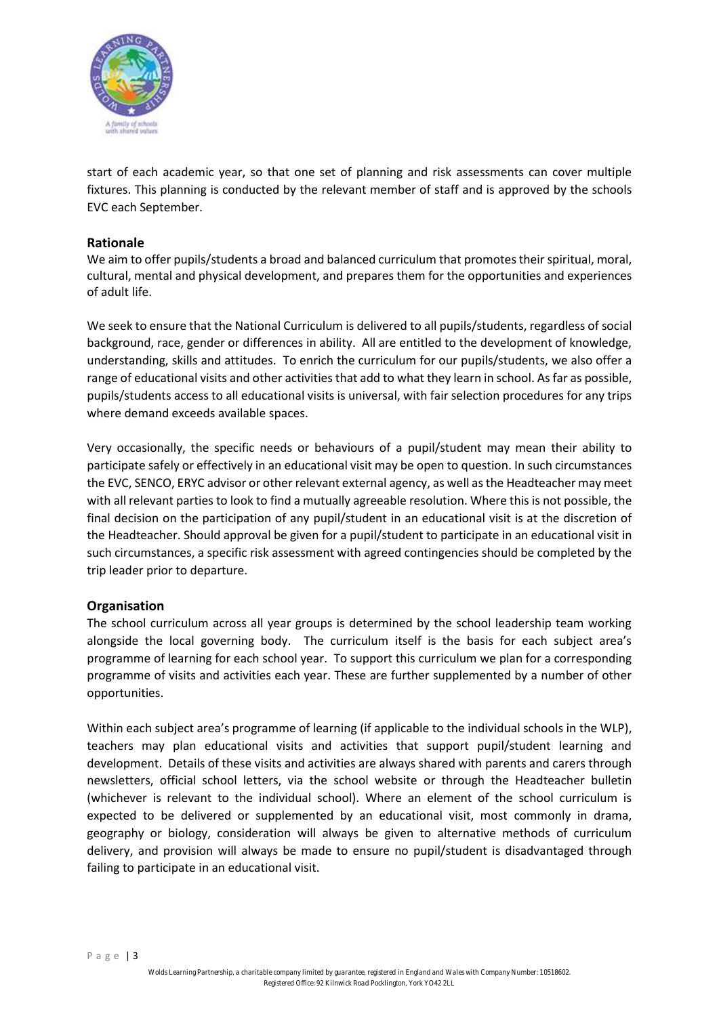

start of each academic year, so that one set of planning and risk assessments can cover multiple fixtures. This planning is conducted by the relevant member of staff and is approved by the schools EVC each September.

# **Rationale**

We aim to offer pupils/students a broad and balanced curriculum that promotes their spiritual, moral, cultural, mental and physical development, and prepares them for the opportunities and experiences of adult life.

We seek to ensure that the National Curriculum is delivered to all pupils/students, regardless of social background, race, gender or differences in ability. All are entitled to the development of knowledge, understanding, skills and attitudes. To enrich the curriculum for our pupils/students, we also offer a range of educational visits and other activities that add to what they learn in school. As far as possible, pupils/students access to all educational visits is universal, with fair selection procedures for any trips where demand exceeds available spaces.

Very occasionally, the specific needs or behaviours of a pupil/student may mean their ability to participate safely or effectively in an educational visit may be open to question. In such circumstances the EVC, SENCO, ERYC advisor or other relevant external agency, as well as the Headteacher may meet with all relevant parties to look to find a mutually agreeable resolution. Where this is not possible, the final decision on the participation of any pupil/student in an educational visit is at the discretion of the Headteacher. Should approval be given for a pupil/student to participate in an educational visit in such circumstances, a specific risk assessment with agreed contingencies should be completed by the trip leader prior to departure.

# **Organisation**

The school curriculum across all year groups is determined by the school leadership team working alongside the local governing body. The curriculum itself is the basis for each subject area's programme of learning for each school year. To support this curriculum we plan for a corresponding programme of visits and activities each year. These are further supplemented by a number of other opportunities.

Within each subject area's programme of learning (if applicable to the individual schools in the WLP), teachers may plan educational visits and activities that support pupil/student learning and development. Details of these visits and activities are always shared with parents and carers through newsletters, official school letters, via the school website or through the Headteacher bulletin (whichever is relevant to the individual school). Where an element of the school curriculum is expected to be delivered or supplemented by an educational visit, most commonly in drama, geography or biology, consideration will always be given to alternative methods of curriculum delivery, and provision will always be made to ensure no pupil/student is disadvantaged through failing to participate in an educational visit.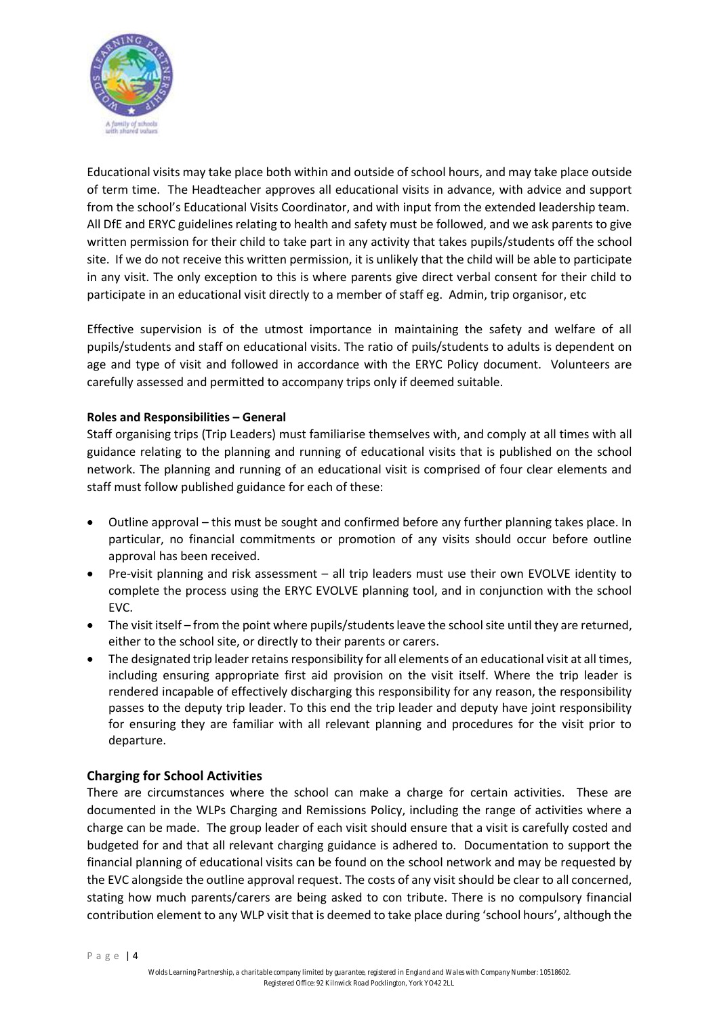

Educational visits may take place both within and outside of school hours, and may take place outside of term time. The Headteacher approves all educational visits in advance, with advice and support from the school's Educational Visits Coordinator, and with input from the extended leadership team. All DfE and ERYC guidelines relating to health and safety must be followed, and we ask parents to give written permission for their child to take part in any activity that takes pupils/students off the school site. If we do not receive this written permission, it is unlikely that the child will be able to participate in any visit. The only exception to this is where parents give direct verbal consent for their child to participate in an educational visit directly to a member of staff eg. Admin, trip organisor, etc

Effective supervision is of the utmost importance in maintaining the safety and welfare of all pupils/students and staff on educational visits. The ratio of puils/students to adults is dependent on age and type of visit and followed in accordance with the ERYC Policy document. Volunteers are carefully assessed and permitted to accompany trips only if deemed suitable.

#### **Roles and Responsibilities – General**

Staff organising trips (Trip Leaders) must familiarise themselves with, and comply at all times with all guidance relating to the planning and running of educational visits that is published on the school network. The planning and running of an educational visit is comprised of four clear elements and staff must follow published guidance for each of these:

- Outline approval this must be sought and confirmed before any further planning takes place. In particular, no financial commitments or promotion of any visits should occur before outline approval has been received.
- Pre-visit planning and risk assessment all trip leaders must use their own EVOLVE identity to complete the process using the ERYC EVOLVE planning tool, and in conjunction with the school EVC.
- The visit itself from the point where pupils/students leave the school site until they are returned, either to the school site, or directly to their parents or carers.
- The designated trip leader retains responsibility for all elements of an educational visit at all times, including ensuring appropriate first aid provision on the visit itself. Where the trip leader is rendered incapable of effectively discharging this responsibility for any reason, the responsibility passes to the deputy trip leader. To this end the trip leader and deputy have joint responsibility for ensuring they are familiar with all relevant planning and procedures for the visit prior to departure.

# **Charging for School Activities**

There are circumstances where the school can make a charge for certain activities. These are documented in the WLPs Charging and Remissions Policy, including the range of activities where a charge can be made. The group leader of each visit should ensure that a visit is carefully costed and budgeted for and that all relevant charging guidance is adhered to. Documentation to support the financial planning of educational visits can be found on the school network and may be requested by the EVC alongside the outline approval request. The costs of any visit should be clear to all concerned, stating how much parents/carers are being asked to con tribute. There is no compulsory financial contribution element to any WLP visit that is deemed to take place during 'school hours', although the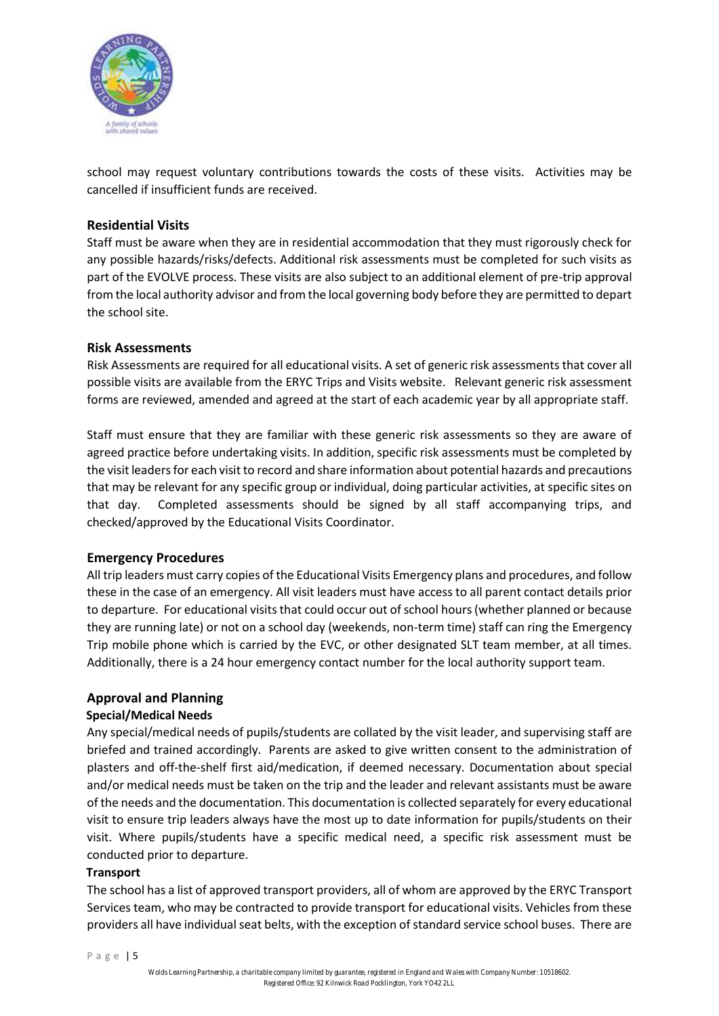

school may request voluntary contributions towards the costs of these visits. Activities may be cancelled if insufficient funds are received.

# **Residential Visits**

Staff must be aware when they are in residential accommodation that they must rigorously check for any possible hazards/risks/defects. Additional risk assessments must be completed for such visits as part of the EVOLVE process. These visits are also subject to an additional element of pre-trip approval from the local authority advisor and from the local governing body before they are permitted to depart the school site.

# **Risk Assessments**

Risk Assessments are required for all educational visits. A set of generic risk assessments that cover all possible visits are available from the ERYC Trips and Visits website. Relevant generic risk assessment forms are reviewed, amended and agreed at the start of each academic year by all appropriate staff.

Staff must ensure that they are familiar with these generic risk assessments so they are aware of agreed practice before undertaking visits. In addition, specific risk assessments must be completed by the visit leaders for each visit to record and share information about potential hazards and precautions that may be relevant for any specific group or individual, doing particular activities, at specific sites on that day. Completed assessments should be signed by all staff accompanying trips, and checked/approved by the Educational Visits Coordinator.

# **Emergency Procedures**

All trip leaders must carry copies of the Educational Visits Emergency plans and procedures, and follow these in the case of an emergency. All visit leaders must have access to all parent contact details prior to departure. For educational visits that could occur out of school hours (whether planned or because they are running late) or not on a school day (weekends, non-term time) staff can ring the Emergency Trip mobile phone which is carried by the EVC, or other designated SLT team member, at all times. Additionally, there is a 24 hour emergency contact number for the local authority support team.

# **Approval and Planning**

# **Special/Medical Needs**

Any special/medical needs of pupils/students are collated by the visit leader, and supervising staff are briefed and trained accordingly. Parents are asked to give written consent to the administration of plasters and off-the-shelf first aid/medication, if deemed necessary. Documentation about special and/or medical needs must be taken on the trip and the leader and relevant assistants must be aware of the needs and the documentation. This documentation is collected separately for every educational visit to ensure trip leaders always have the most up to date information for pupils/students on their visit. Where pupils/students have a specific medical need, a specific risk assessment must be conducted prior to departure.

# **Transport**

The school has a list of approved transport providers, all of whom are approved by the ERYC Transport Services team, who may be contracted to provide transport for educational visits. Vehicles from these providers all have individual seat belts, with the exception of standard service school buses. There are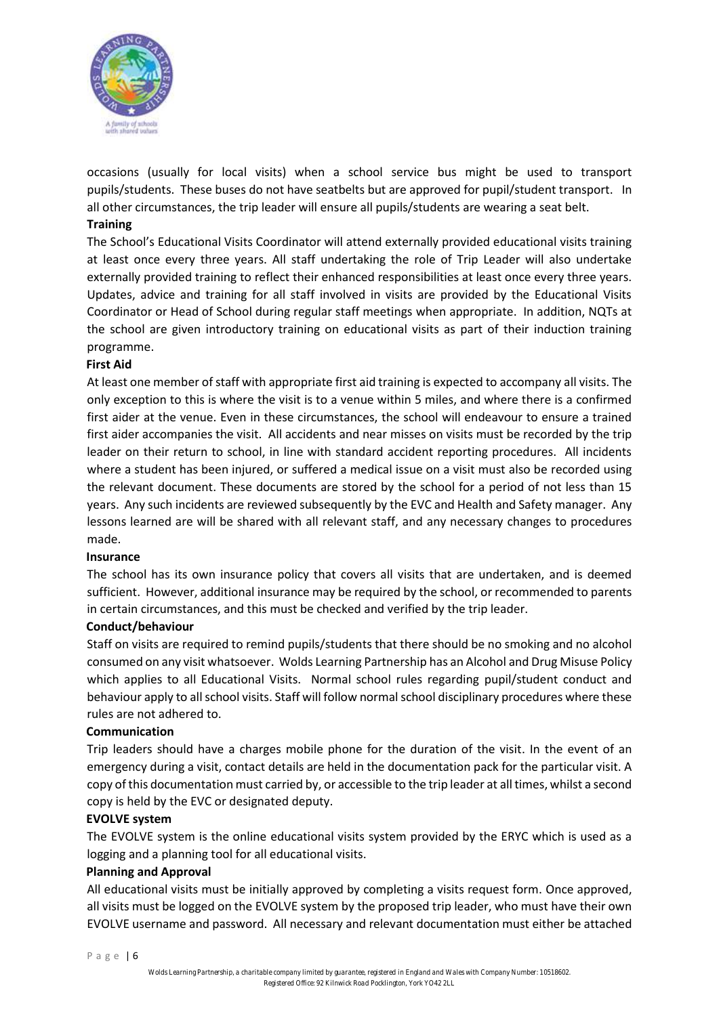

occasions (usually for local visits) when a school service bus might be used to transport pupils/students. These buses do not have seatbelts but are approved for pupil/student transport. In all other circumstances, the trip leader will ensure all pupils/students are wearing a seat belt.

#### **Training**

The School's Educational Visits Coordinator will attend externally provided educational visits training at least once every three years. All staff undertaking the role of Trip Leader will also undertake externally provided training to reflect their enhanced responsibilities at least once every three years. Updates, advice and training for all staff involved in visits are provided by the Educational Visits Coordinator or Head of School during regular staff meetings when appropriate. In addition, NQTs at the school are given introductory training on educational visits as part of their induction training programme.

#### **First Aid**

At least one member of staff with appropriate first aid training is expected to accompany all visits. The only exception to this is where the visit is to a venue within 5 miles, and where there is a confirmed first aider at the venue. Even in these circumstances, the school will endeavour to ensure a trained first aider accompanies the visit. All accidents and near misses on visits must be recorded by the trip leader on their return to school, in line with standard accident reporting procedures. All incidents where a student has been injured, or suffered a medical issue on a visit must also be recorded using the relevant document. These documents are stored by the school for a period of not less than 15 years. Any such incidents are reviewed subsequently by the EVC and Health and Safety manager. Any lessons learned are will be shared with all relevant staff, and any necessary changes to procedures made.

#### **Insurance**

The school has its own insurance policy that covers all visits that are undertaken, and is deemed sufficient. However, additional insurance may be required by the school, or recommended to parents in certain circumstances, and this must be checked and verified by the trip leader.

#### **Conduct/behaviour**

Staff on visits are required to remind pupils/students that there should be no smoking and no alcohol consumed on any visit whatsoever. Wolds Learning Partnership has an Alcohol and Drug Misuse Policy which applies to all Educational Visits. Normal school rules regarding pupil/student conduct and behaviour apply to all school visits. Staff will follow normal school disciplinary procedures where these rules are not adhered to.

#### **Communication**

Trip leaders should have a charges mobile phone for the duration of the visit. In the event of an emergency during a visit, contact details are held in the documentation pack for the particular visit. A copy of this documentation must carried by, or accessible to the trip leader at all times, whilst a second copy is held by the EVC or designated deputy.

#### **EVOLVE system**

The EVOLVE system is the online educational visits system provided by the ERYC which is used as a logging and a planning tool for all educational visits.

# **Planning and Approval**

All educational visits must be initially approved by completing a visits request form. Once approved, all visits must be logged on the EVOLVE system by the proposed trip leader, who must have their own EVOLVE username and password. All necessary and relevant documentation must either be attached